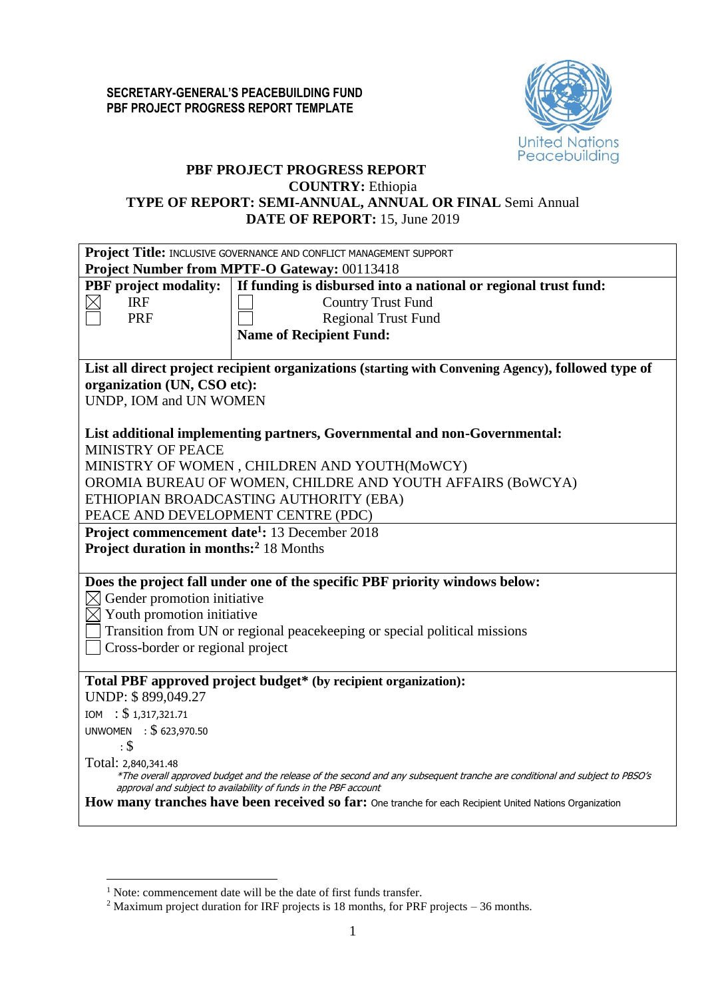

# **PBF PROJECT PROGRESS REPORT**

#### **COUNTRY:** Ethiopia **TYPE OF REPORT: SEMI-ANNUAL, ANNUAL OR FINAL** Semi Annual **DATE OF REPORT:** 15, June 2019

|                                                           | Project Title: INCLUSIVE GOVERNANCE AND CONFLICT MANAGEMENT SUPPORT                                                         |  |  |  |  |  |  |  |
|-----------------------------------------------------------|-----------------------------------------------------------------------------------------------------------------------------|--|--|--|--|--|--|--|
| Project Number from MPTF-O Gateway: 00113418              |                                                                                                                             |  |  |  |  |  |  |  |
| <b>PBF</b> project modality:                              | If funding is disbursed into a national or regional trust fund:                                                             |  |  |  |  |  |  |  |
| <b>IRF</b>                                                | <b>Country Trust Fund</b>                                                                                                   |  |  |  |  |  |  |  |
| <b>PRF</b>                                                | <b>Regional Trust Fund</b>                                                                                                  |  |  |  |  |  |  |  |
|                                                           | <b>Name of Recipient Fund:</b>                                                                                              |  |  |  |  |  |  |  |
|                                                           |                                                                                                                             |  |  |  |  |  |  |  |
|                                                           | List all direct project recipient organizations (starting with Convening Agency), followed type of                          |  |  |  |  |  |  |  |
| organization (UN, CSO etc):                               |                                                                                                                             |  |  |  |  |  |  |  |
| UNDP, IOM and UN WOMEN                                    |                                                                                                                             |  |  |  |  |  |  |  |
|                                                           |                                                                                                                             |  |  |  |  |  |  |  |
|                                                           | List additional implementing partners, Governmental and non-Governmental:                                                   |  |  |  |  |  |  |  |
| <b>MINISTRY OF PEACE</b>                                  |                                                                                                                             |  |  |  |  |  |  |  |
|                                                           | MINISTRY OF WOMEN, CHILDREN AND YOUTH(MoWCY)                                                                                |  |  |  |  |  |  |  |
|                                                           | OROMIA BUREAU OF WOMEN, CHILDRE AND YOUTH AFFAIRS (BoWCYA)                                                                  |  |  |  |  |  |  |  |
|                                                           | ETHIOPIAN BROADCASTING AUTHORITY (EBA)                                                                                      |  |  |  |  |  |  |  |
| PEACE AND DEVELOPMENT CENTRE (PDC)                        |                                                                                                                             |  |  |  |  |  |  |  |
| Project commencement date <sup>1</sup> : 13 December 2018 |                                                                                                                             |  |  |  |  |  |  |  |
| <b>Project duration in months:</b> <sup>2</sup> 18 Months |                                                                                                                             |  |  |  |  |  |  |  |
|                                                           |                                                                                                                             |  |  |  |  |  |  |  |
|                                                           | Does the project fall under one of the specific PBF priority windows below:                                                 |  |  |  |  |  |  |  |
| Gender promotion initiative                               |                                                                                                                             |  |  |  |  |  |  |  |
| $\boxtimes$ Youth promotion initiative                    |                                                                                                                             |  |  |  |  |  |  |  |
|                                                           | Transition from UN or regional peace keeping or special political missions                                                  |  |  |  |  |  |  |  |
| Cross-border or regional project                          |                                                                                                                             |  |  |  |  |  |  |  |
|                                                           |                                                                                                                             |  |  |  |  |  |  |  |
|                                                           | Total PBF approved project budget* (by recipient organization):                                                             |  |  |  |  |  |  |  |
| UNDP: \$899,049.27                                        |                                                                                                                             |  |  |  |  |  |  |  |
| IOM : $$1,317,321.71$                                     |                                                                                                                             |  |  |  |  |  |  |  |
| UNWOMEN : \$623,970.50                                    |                                                                                                                             |  |  |  |  |  |  |  |
| $\cdot$ \$                                                |                                                                                                                             |  |  |  |  |  |  |  |
| Total: 2,840,341.48                                       |                                                                                                                             |  |  |  |  |  |  |  |
|                                                           | *The overall approved budget and the release of the second and any subsequent tranche are conditional and subject to PBSO's |  |  |  |  |  |  |  |
|                                                           | approval and subject to availability of funds in the PBF account                                                            |  |  |  |  |  |  |  |
|                                                           | How many tranches have been received so far: One tranche for each Recipient United Nations Organization                     |  |  |  |  |  |  |  |

1

<sup>&</sup>lt;sup>1</sup> Note: commencement date will be the date of first funds transfer.

<sup>&</sup>lt;sup>2</sup> Maximum project duration for IRF projects is 18 months, for PRF projects – 36 months.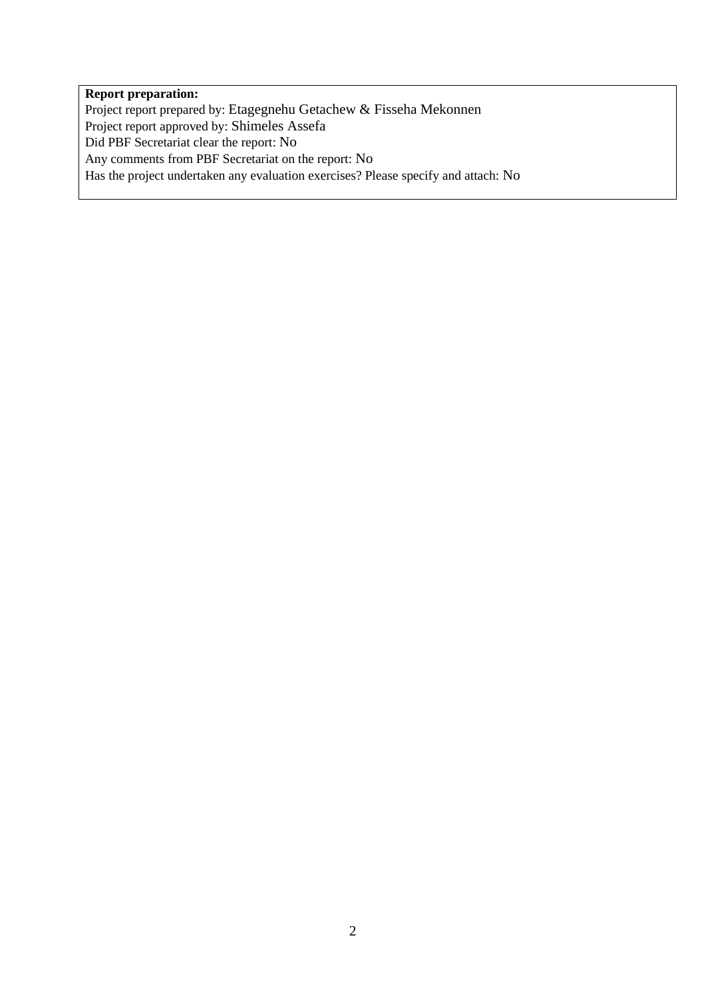## **Report preparation:**

Project report prepared by: Etagegnehu Getachew & Fisseha Mekonnen Project report approved by: Shimeles Assefa Did PBF Secretariat clear the report: No Any comments from PBF Secretariat on the report: No Has the project undertaken any evaluation exercises? Please specify and attach: No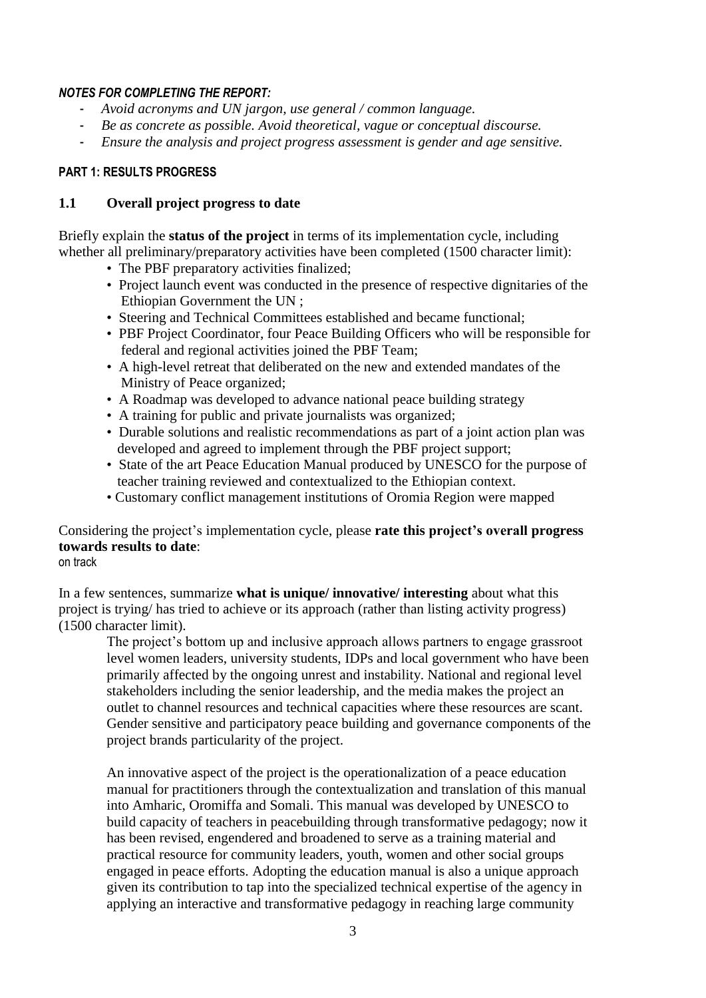#### *NOTES FOR COMPLETING THE REPORT:*

- *Avoid acronyms and UN jargon, use general / common language.*
- *Be as concrete as possible. Avoid theoretical, vague or conceptual discourse.*
- *Ensure the analysis and project progress assessment is gender and age sensitive.*

#### **PART 1: RESULTS PROGRESS**

#### **1.1 Overall project progress to date**

Briefly explain the **status of the project** in terms of its implementation cycle, including whether all preliminary/preparatory activities have been completed (1500 character limit):

- The PBF preparatory activities finalized:
- Project launch event was conducted in the presence of respective dignitaries of the Ethiopian Government the UN ;
- Steering and Technical Committees established and became functional;
- PBF Project Coordinator, four Peace Building Officers who will be responsible for federal and regional activities joined the PBF Team;
- A high-level retreat that deliberated on the new and extended mandates of the Ministry of Peace organized;
- A Roadmap was developed to advance national peace building strategy
- A training for public and private journalists was organized;
- Durable solutions and realistic recommendations as part of a joint action plan was developed and agreed to implement through the PBF project support;
- State of the art Peace Education Manual produced by UNESCO for the purpose of teacher training reviewed and contextualized to the Ethiopian context.
- Customary conflict management institutions of Oromia Region were mapped

### Considering the project's implementation cycle, please **rate this project's overall progress towards results to date**:

on track

In a few sentences, summarize **what is unique/ innovative/ interesting** about what this project is trying/ has tried to achieve or its approach (rather than listing activity progress) (1500 character limit).

The project's bottom up and inclusive approach allows partners to engage grassroot level women leaders, university students, IDPs and local government who have been primarily affected by the ongoing unrest and instability. National and regional level stakeholders including the senior leadership, and the media makes the project an outlet to channel resources and technical capacities where these resources are scant. Gender sensitive and participatory peace building and governance components of the project brands particularity of the project.

An innovative aspect of the project is the operationalization of a peace education manual for practitioners through the contextualization and translation of this manual into Amharic, Oromiffa and Somali. This manual was developed by UNESCO to build capacity of teachers in peacebuilding through transformative pedagogy; now it has been revised, engendered and broadened to serve as a training material and practical resource for community leaders, youth, women and other social groups engaged in peace efforts. Adopting the education manual is also a unique approach given its contribution to tap into the specialized technical expertise of the agency in applying an interactive and transformative pedagogy in reaching large community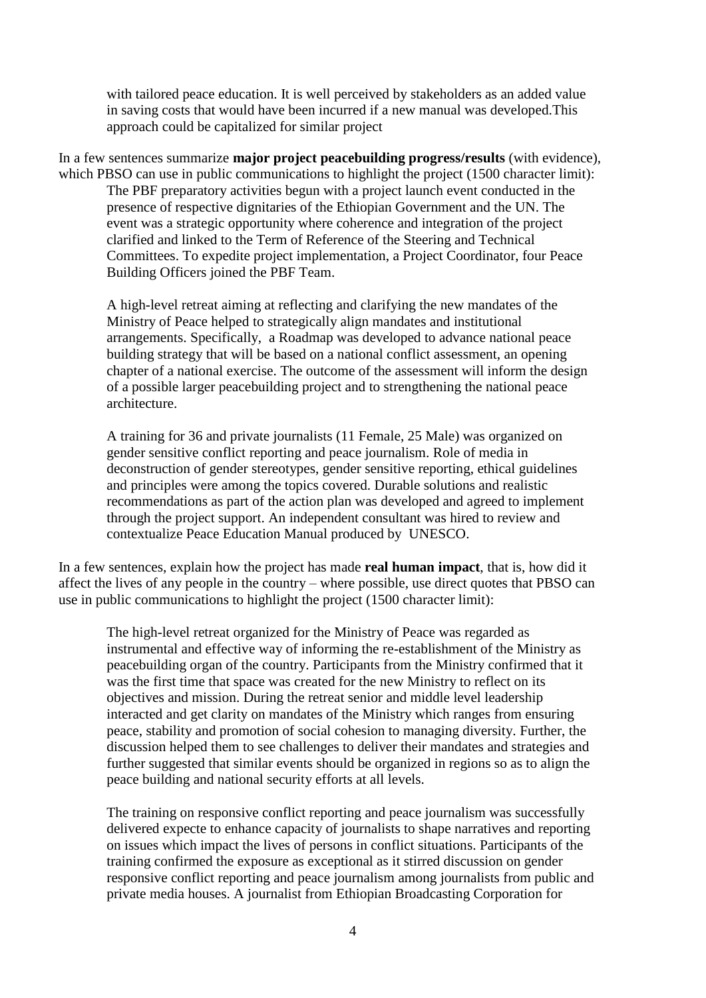with tailored peace education. It is well perceived by stakeholders as an added value in saving costs that would have been incurred if a new manual was developed.This approach could be capitalized for similar project

In a few sentences summarize **major project peacebuilding progress/results** (with evidence), which PBSO can use in public communications to highlight the project (1500 character limit): The PBF preparatory activities begun with a project launch event conducted in the presence of respective dignitaries of the Ethiopian Government and the UN. The event was a strategic opportunity where coherence and integration of the project clarified and linked to the Term of Reference of the Steering and Technical Committees. To expedite project implementation, a Project Coordinator, four Peace Building Officers joined the PBF Team.

A high-level retreat aiming at reflecting and clarifying the new mandates of the Ministry of Peace helped to strategically align mandates and institutional arrangements. Specifically, a Roadmap was developed to advance national peace building strategy that will be based on a national conflict assessment, an opening chapter of a national exercise. The outcome of the assessment will inform the design of a possible larger peacebuilding project and to strengthening the national peace architecture.

A training for 36 and private journalists (11 Female, 25 Male) was organized on gender sensitive conflict reporting and peace journalism. Role of media in deconstruction of gender stereotypes, gender sensitive reporting, ethical guidelines and principles were among the topics covered. Durable solutions and realistic recommendations as part of the action plan was developed and agreed to implement through the project support. An independent consultant was hired to review and contextualize Peace Education Manual produced by UNESCO.

In a few sentences, explain how the project has made **real human impact**, that is, how did it affect the lives of any people in the country – where possible, use direct quotes that PBSO can use in public communications to highlight the project (1500 character limit):

The high-level retreat organized for the Ministry of Peace was regarded as instrumental and effective way of informing the re-establishment of the Ministry as peacebuilding organ of the country. Participants from the Ministry confirmed that it was the first time that space was created for the new Ministry to reflect on its objectives and mission. During the retreat senior and middle level leadership interacted and get clarity on mandates of the Ministry which ranges from ensuring peace, stability and promotion of social cohesion to managing diversity. Further, the discussion helped them to see challenges to deliver their mandates and strategies and further suggested that similar events should be organized in regions so as to align the peace building and national security efforts at all levels.

The training on responsive conflict reporting and peace journalism was successfully delivered expecte to enhance capacity of journalists to shape narratives and reporting on issues which impact the lives of persons in conflict situations. Participants of the training confirmed the exposure as exceptional as it stirred discussion on gender responsive conflict reporting and peace journalism among journalists from public and private media houses. A journalist from Ethiopian Broadcasting Corporation for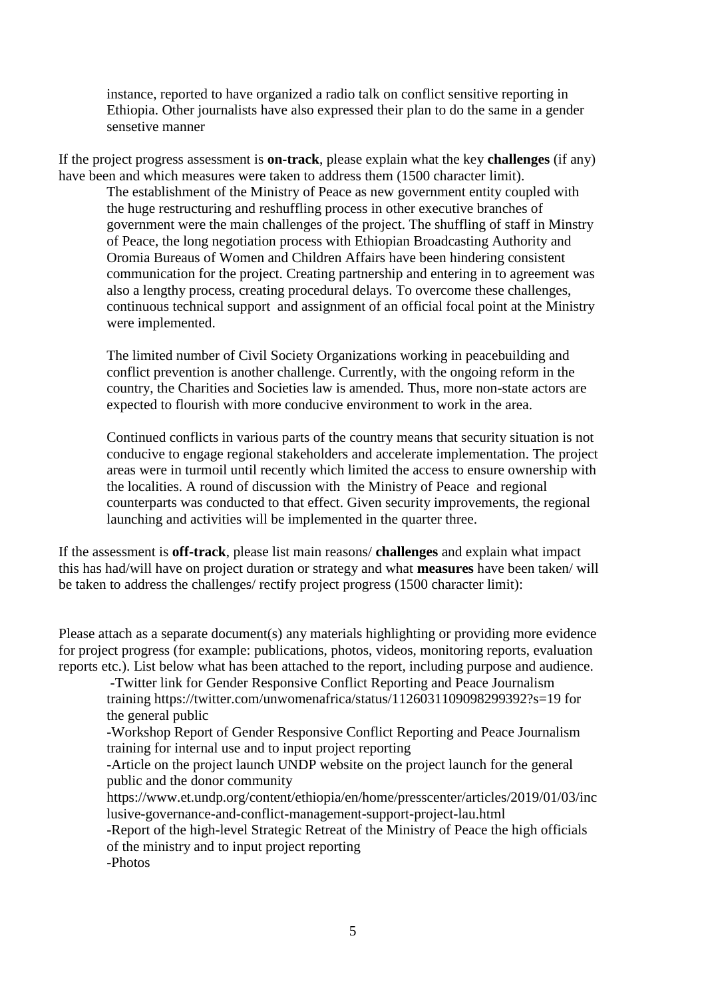instance, reported to have organized a radio talk on conflict sensitive reporting in Ethiopia. Other journalists have also expressed their plan to do the same in a gender sensetive manner

If the project progress assessment is **on-track**, please explain what the key **challenges** (if any) have been and which measures were taken to address them (1500 character limit).

The establishment of the Ministry of Peace as new government entity coupled with the huge restructuring and reshuffling process in other executive branches of government were the main challenges of the project. The shuffling of staff in Minstry of Peace, the long negotiation process with Ethiopian Broadcasting Authority and Oromia Bureaus of Women and Children Affairs have been hindering consistent communication for the project. Creating partnership and entering in to agreement was also a lengthy process, creating procedural delays. To overcome these challenges, continuous technical support and assignment of an official focal point at the Ministry were implemented.

The limited number of Civil Society Organizations working in peacebuilding and conflict prevention is another challenge. Currently, with the ongoing reform in the country, the Charities and Societies law is amended. Thus, more non-state actors are expected to flourish with more conducive environment to work in the area.

Continued conflicts in various parts of the country means that security situation is not conducive to engage regional stakeholders and accelerate implementation. The project areas were in turmoil until recently which limited the access to ensure ownership with the localities. A round of discussion with the Ministry of Peace and regional counterparts was conducted to that effect. Given security improvements, the regional launching and activities will be implemented in the quarter three.

If the assessment is **off-track**, please list main reasons/ **challenges** and explain what impact this has had/will have on project duration or strategy and what **measures** have been taken/ will be taken to address the challenges/ rectify project progress (1500 character limit):

Please attach as a separate document(s) any materials highlighting or providing more evidence for project progress (for example: publications, photos, videos, monitoring reports, evaluation reports etc.). List below what has been attached to the report, including purpose and audience.

-Twitter link for Gender Responsive Conflict Reporting and Peace Journalism training https://twitter.com/unwomenafrica/status/1126031109098299392?s=19 for the general public

-Workshop Report of Gender Responsive Conflict Reporting and Peace Journalism training for internal use and to input project reporting

-Article on the project launch UNDP website on the project launch for the general public and the donor community

https://www.et.undp.org/content/ethiopia/en/home/presscenter/articles/2019/01/03/inc lusive-governance-and-conflict-management-support-project-lau.html

-Report of the high-level Strategic Retreat of the Ministry of Peace the high officials of the ministry and to input project reporting

-Photos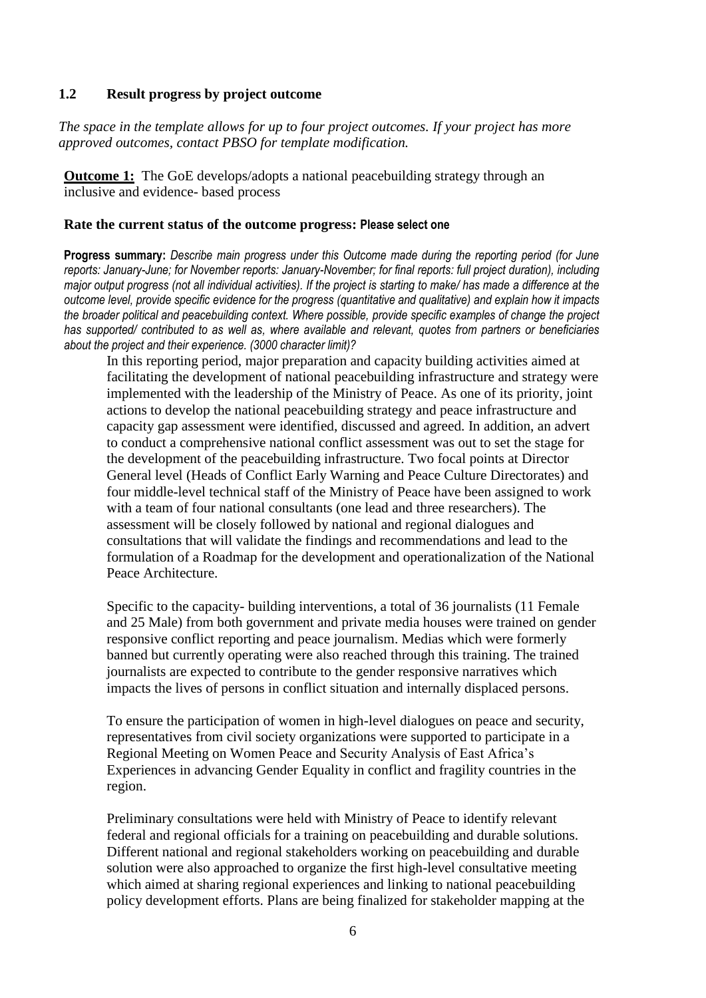#### **1.2 Result progress by project outcome**

*The space in the template allows for up to four project outcomes. If your project has more approved outcomes, contact PBSO for template modification.*

**Outcome 1:** The GoE develops/adopts a national peacebuilding strategy through an inclusive and evidence- based process

#### **Rate the current status of the outcome progress: Please select one**

**Progress summary:** *Describe main progress under this Outcome made during the reporting period (for June reports: January-June; for November reports: January-November; for final reports: full project duration), including major output progress (not all individual activities). If the project is starting to make/ has made a difference at the outcome level, provide specific evidence for the progress (quantitative and qualitative) and explain how it impacts the broader political and peacebuilding context. Where possible, provide specific examples of change the project has supported/ contributed to as well as, where available and relevant, quotes from partners or beneficiaries about the project and their experience. (3000 character limit)?* 

In this reporting period, major preparation and capacity building activities aimed at facilitating the development of national peacebuilding infrastructure and strategy were implemented with the leadership of the Ministry of Peace. As one of its priority, joint actions to develop the national peacebuilding strategy and peace infrastructure and capacity gap assessment were identified, discussed and agreed. In addition, an advert to conduct a comprehensive national conflict assessment was out to set the stage for the development of the peacebuilding infrastructure. Two focal points at Director General level (Heads of Conflict Early Warning and Peace Culture Directorates) and four middle-level technical staff of the Ministry of Peace have been assigned to work with a team of four national consultants (one lead and three researchers). The assessment will be closely followed by national and regional dialogues and consultations that will validate the findings and recommendations and lead to the formulation of a Roadmap for the development and operationalization of the National Peace Architecture.

Specific to the capacity- building interventions, a total of 36 journalists (11 Female and 25 Male) from both government and private media houses were trained on gender responsive conflict reporting and peace journalism. Medias which were formerly banned but currently operating were also reached through this training. The trained journalists are expected to contribute to the gender responsive narratives which impacts the lives of persons in conflict situation and internally displaced persons.

To ensure the participation of women in high-level dialogues on peace and security, representatives from civil society organizations were supported to participate in a Regional Meeting on Women Peace and Security Analysis of East Africa's Experiences in advancing Gender Equality in conflict and fragility countries in the region.

Preliminary consultations were held with Ministry of Peace to identify relevant federal and regional officials for a training on peacebuilding and durable solutions. Different national and regional stakeholders working on peacebuilding and durable solution were also approached to organize the first high-level consultative meeting which aimed at sharing regional experiences and linking to national peacebuilding policy development efforts. Plans are being finalized for stakeholder mapping at the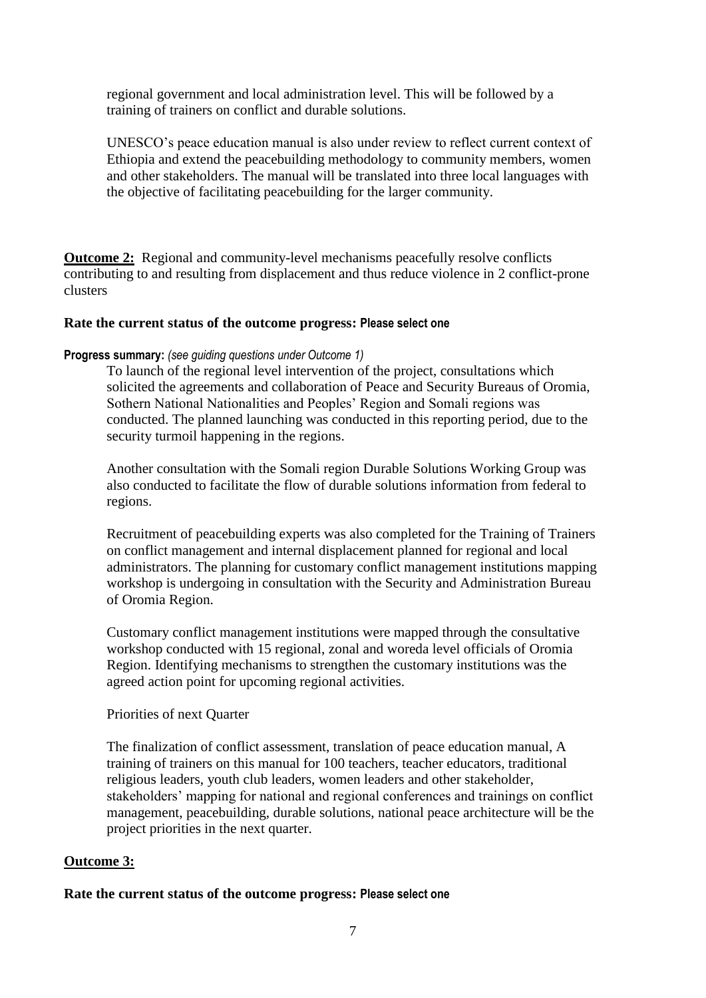regional government and local administration level. This will be followed by a training of trainers on conflict and durable solutions.

UNESCO's peace education manual is also under review to reflect current context of Ethiopia and extend the peacebuilding methodology to community members, women and other stakeholders. The manual will be translated into three local languages with the objective of facilitating peacebuilding for the larger community.

**Outcome 2:** Regional and community-level mechanisms peacefully resolve conflicts contributing to and resulting from displacement and thus reduce violence in 2 conflict-prone clusters

#### **Rate the current status of the outcome progress: Please select one**

#### **Progress summary:** *(see guiding questions under Outcome 1)*

To launch of the regional level intervention of the project, consultations which solicited the agreements and collaboration of Peace and Security Bureaus of Oromia, Sothern National Nationalities and Peoples' Region and Somali regions was conducted. The planned launching was conducted in this reporting period, due to the security turmoil happening in the regions.

Another consultation with the Somali region Durable Solutions Working Group was also conducted to facilitate the flow of durable solutions information from federal to regions.

Recruitment of peacebuilding experts was also completed for the Training of Trainers on conflict management and internal displacement planned for regional and local administrators. The planning for customary conflict management institutions mapping workshop is undergoing in consultation with the Security and Administration Bureau of Oromia Region.

Customary conflict management institutions were mapped through the consultative workshop conducted with 15 regional, zonal and woreda level officials of Oromia Region. Identifying mechanisms to strengthen the customary institutions was the agreed action point for upcoming regional activities.

#### Priorities of next Quarter

The finalization of conflict assessment, translation of peace education manual, A training of trainers on this manual for 100 teachers, teacher educators, traditional religious leaders, youth club leaders, women leaders and other stakeholder, stakeholders' mapping for national and regional conferences and trainings on conflict management, peacebuilding, durable solutions, national peace architecture will be the project priorities in the next quarter.

#### **Outcome 3:**

#### **Rate the current status of the outcome progress: Please select one**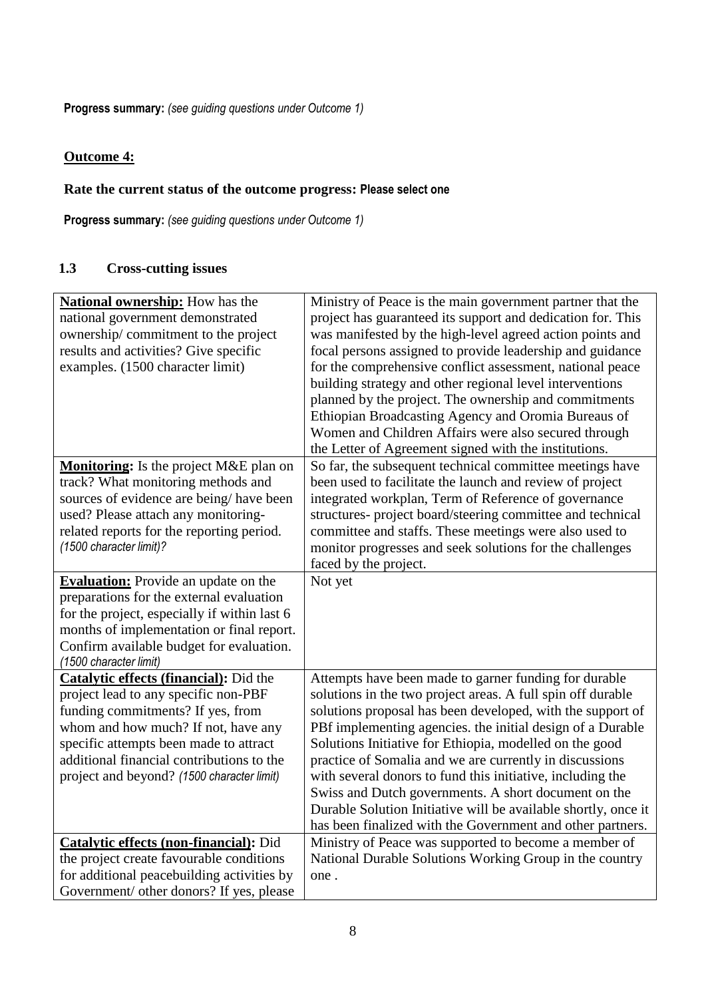**Progress summary:** *(see guiding questions under Outcome 1)* 

# **Outcome 4:**

### **Rate the current status of the outcome progress: Please select one**

**Progress summary:** *(see guiding questions under Outcome 1)* 

# **1.3 Cross-cutting issues**

| <b>National ownership:</b> How has the                                                  | Ministry of Peace is the main government partner that the      |
|-----------------------------------------------------------------------------------------|----------------------------------------------------------------|
| national government demonstrated                                                        | project has guaranteed its support and dedication for. This    |
| ownership/commitment to the project                                                     | was manifested by the high-level agreed action points and      |
| results and activities? Give specific                                                   | focal persons assigned to provide leadership and guidance      |
| examples. (1500 character limit)                                                        | for the comprehensive conflict assessment, national peace      |
|                                                                                         | building strategy and other regional level interventions       |
|                                                                                         | planned by the project. The ownership and commitments          |
|                                                                                         | Ethiopian Broadcasting Agency and Oromia Bureaus of            |
|                                                                                         | Women and Children Affairs were also secured through           |
|                                                                                         | the Letter of Agreement signed with the institutions.          |
| Monitoring: Is the project M&E plan on                                                  | So far, the subsequent technical committee meetings have       |
| track? What monitoring methods and                                                      | been used to facilitate the launch and review of project       |
| sources of evidence are being/have been                                                 | integrated workplan, Term of Reference of governance           |
| used? Please attach any monitoring-                                                     | structures- project board/steering committee and technical     |
| related reports for the reporting period.                                               | committee and staffs. These meetings were also used to         |
| (1500 character limit)?                                                                 | monitor progresses and seek solutions for the challenges       |
|                                                                                         | faced by the project.                                          |
|                                                                                         | Not yet                                                        |
| <b>Evaluation:</b> Provide an update on the<br>preparations for the external evaluation |                                                                |
| for the project, especially if within last 6                                            |                                                                |
|                                                                                         |                                                                |
| months of implementation or final report.                                               |                                                                |
| Confirm available budget for evaluation.                                                |                                                                |
| (1500 character limit)                                                                  |                                                                |
| <b>Catalytic effects (financial):</b> Did the                                           | Attempts have been made to garner funding for durable          |
| project lead to any specific non-PBF                                                    | solutions in the two project areas. A full spin off durable    |
| funding commitments? If yes, from                                                       | solutions proposal has been developed, with the support of     |
| whom and how much? If not, have any                                                     | PBf implementing agencies. the initial design of a Durable     |
| specific attempts been made to attract                                                  | Solutions Initiative for Ethiopia, modelled on the good        |
| additional financial contributions to the                                               | practice of Somalia and we are currently in discussions        |
| project and beyond? (1500 character limit)                                              | with several donors to fund this initiative, including the     |
|                                                                                         | Swiss and Dutch governments. A short document on the           |
|                                                                                         | Durable Solution Initiative will be available shortly, once it |
|                                                                                         | has been finalized with the Government and other partners.     |
| <b>Catalytic effects (non-financial):</b> Did                                           | Ministry of Peace was supported to become a member of          |
| the project create favourable conditions                                                | National Durable Solutions Working Group in the country        |
| for additional peacebuilding activities by                                              | one.                                                           |
| Government/ other donors? If yes, please                                                |                                                                |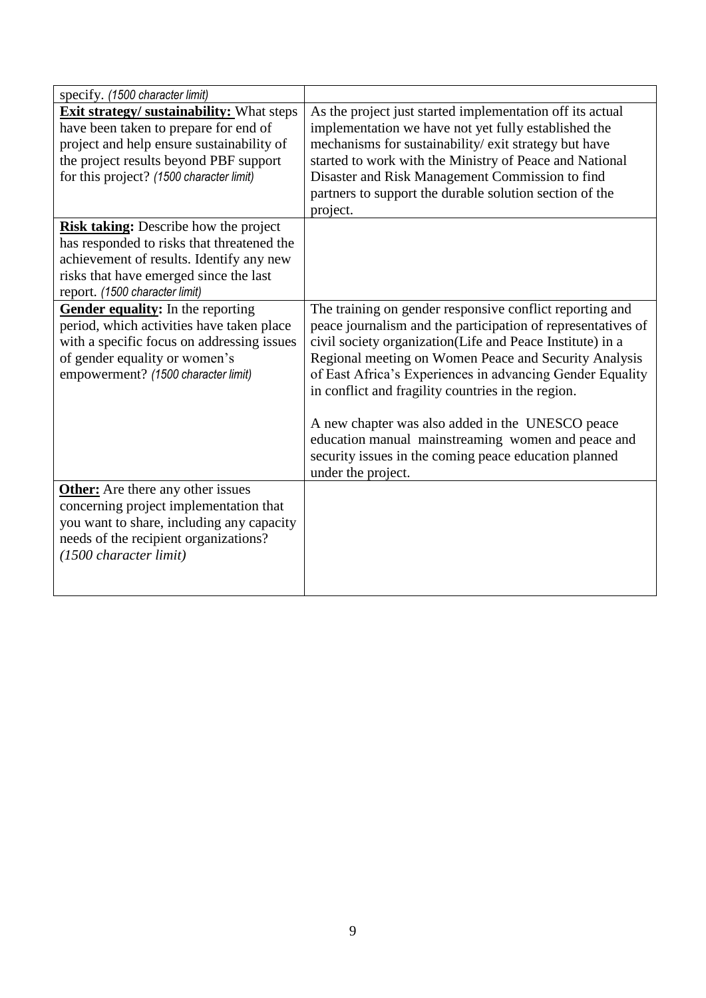| specify. (1500 character limit)                                                                                                                                                                                              |                                                                                                                                                                                                                                                                                                                                                                                                                                                                                                                                                            |
|------------------------------------------------------------------------------------------------------------------------------------------------------------------------------------------------------------------------------|------------------------------------------------------------------------------------------------------------------------------------------------------------------------------------------------------------------------------------------------------------------------------------------------------------------------------------------------------------------------------------------------------------------------------------------------------------------------------------------------------------------------------------------------------------|
| <b>Exit strategy/ sustainability:</b> What steps<br>have been taken to prepare for end of<br>project and help ensure sustainability of<br>the project results beyond PBF support<br>for this project? (1500 character limit) | As the project just started implementation off its actual<br>implementation we have not yet fully established the<br>mechanisms for sustainability/ exit strategy but have<br>started to work with the Ministry of Peace and National<br>Disaster and Risk Management Commission to find<br>partners to support the durable solution section of the<br>project.                                                                                                                                                                                            |
| <b>Risk taking:</b> Describe how the project<br>has responded to risks that threatened the<br>achievement of results. Identify any new<br>risks that have emerged since the last<br>report. (1500 character limit)           |                                                                                                                                                                                                                                                                                                                                                                                                                                                                                                                                                            |
| Gender equality: In the reporting<br>period, which activities have taken place<br>with a specific focus on addressing issues<br>of gender equality or women's<br>empowerment? (1500 character limit)                         | The training on gender responsive conflict reporting and<br>peace journalism and the participation of representatives of<br>civil society organization(Life and Peace Institute) in a<br>Regional meeting on Women Peace and Security Analysis<br>of East Africa's Experiences in advancing Gender Equality<br>in conflict and fragility countries in the region.<br>A new chapter was also added in the UNESCO peace<br>education manual mainstreaming women and peace and<br>security issues in the coming peace education planned<br>under the project. |
| <b>Other:</b> Are there any other issues<br>concerning project implementation that<br>you want to share, including any capacity<br>needs of the recipient organizations?<br>(1500 character limit)                           |                                                                                                                                                                                                                                                                                                                                                                                                                                                                                                                                                            |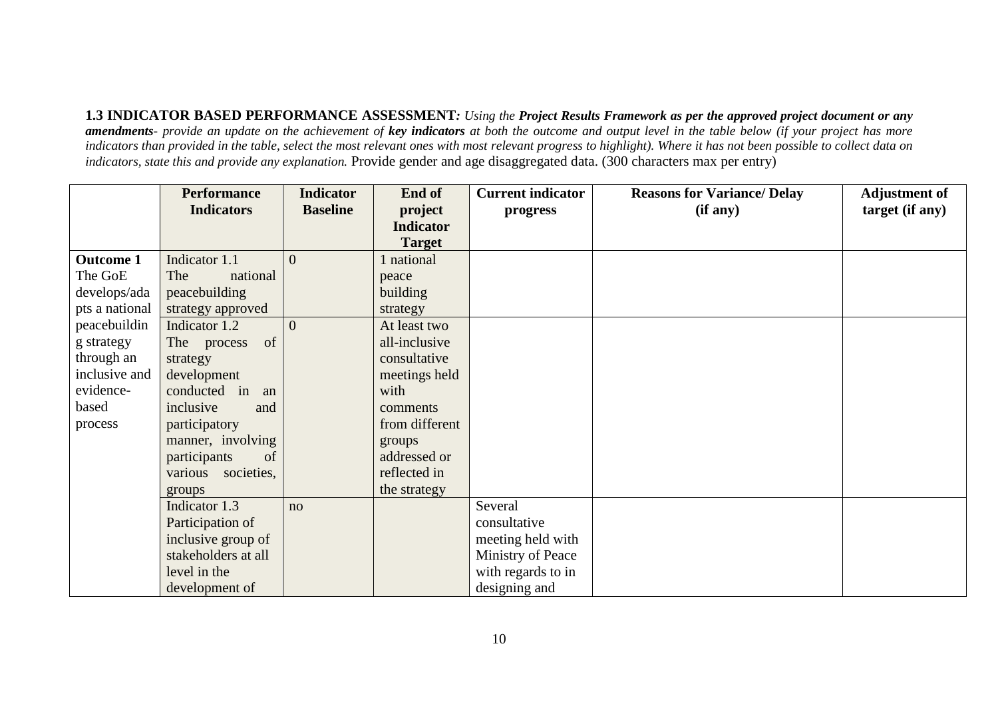**1.3 INDICATOR BASED PERFORMANCE ASSESSMENT***: Using the Project Results Framework as per the approved project document or any amendments- provide an update on the achievement of key indicators at both the outcome and output level in the table below (if your project has more*  indicators than provided in the table, select the most relevant ones with most relevant progress to highlight). Where it has not been possible to collect data on *indicators, state this and provide any explanation.* Provide gender and age disaggregated data. (300 characters max per entry)

|                  | <b>Performance</b>    | <b>Indicator</b> | End of           | <b>Current indicator</b> | <b>Reasons for Variance/ Delay</b> | <b>Adjustment of</b> |
|------------------|-----------------------|------------------|------------------|--------------------------|------------------------------------|----------------------|
|                  | <b>Indicators</b>     | <b>Baseline</b>  | project          | progress                 | (if any)                           | target (if any)      |
|                  |                       |                  | <b>Indicator</b> |                          |                                    |                      |
|                  |                       |                  | <b>Target</b>    |                          |                                    |                      |
| <b>Outcome 1</b> | Indicator 1.1         | $\overline{0}$   | national         |                          |                                    |                      |
| The GoE          | national<br>The       |                  | peace            |                          |                                    |                      |
| develops/ada     | peacebuilding         |                  | building         |                          |                                    |                      |
| pts a national   | strategy approved     |                  | strategy         |                          |                                    |                      |
| peacebuildin     | Indicator 1.2         | $\overline{0}$   | At least two     |                          |                                    |                      |
| g strategy       | of<br>The process     |                  | all-inclusive    |                          |                                    |                      |
| through an       | strategy              |                  | consultative     |                          |                                    |                      |
| inclusive and    | development           |                  | meetings held    |                          |                                    |                      |
| evidence-        | conducted in an       |                  | with             |                          |                                    |                      |
| based            | inclusive<br>and      |                  | comments         |                          |                                    |                      |
| process          | participatory         |                  | from different   |                          |                                    |                      |
|                  | manner, involving     |                  | groups           |                          |                                    |                      |
|                  | participants<br>of    |                  | addressed or     |                          |                                    |                      |
|                  | various<br>societies, |                  | reflected in     |                          |                                    |                      |
|                  | groups                |                  | the strategy     |                          |                                    |                      |
|                  | Indicator 1.3         | no               |                  | Several                  |                                    |                      |
|                  | Participation of      |                  |                  | consultative             |                                    |                      |
|                  | inclusive group of    |                  |                  | meeting held with        |                                    |                      |
|                  | stakeholders at all   |                  |                  | Ministry of Peace        |                                    |                      |
|                  | level in the          |                  |                  | with regards to in       |                                    |                      |
|                  | development of        |                  |                  | designing and            |                                    |                      |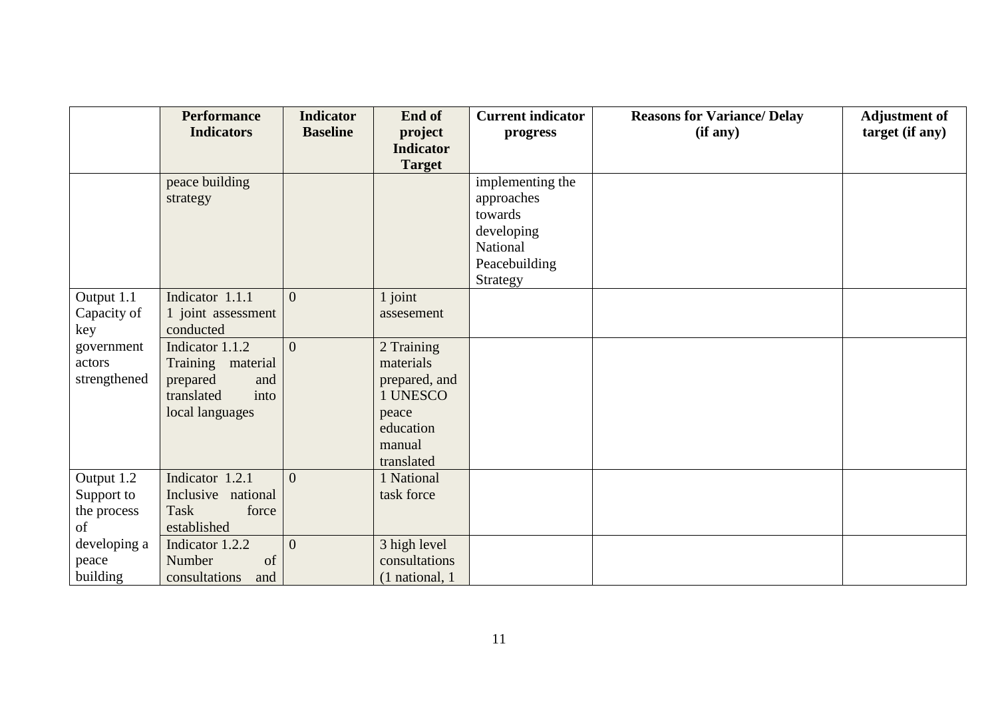|              | <b>Performance</b>   | <b>Indicator</b> | End of           | <b>Current indicator</b> | <b>Reasons for Variance/ Delay</b> | <b>Adjustment of</b> |
|--------------|----------------------|------------------|------------------|--------------------------|------------------------------------|----------------------|
|              | <b>Indicators</b>    | <b>Baseline</b>  | project          | progress                 | (if any)                           | target (if any)      |
|              |                      |                  | <b>Indicator</b> |                          |                                    |                      |
|              |                      |                  | <b>Target</b>    |                          |                                    |                      |
|              | peace building       |                  |                  | implementing the         |                                    |                      |
|              | strategy             |                  |                  | approaches               |                                    |                      |
|              |                      |                  |                  | towards                  |                                    |                      |
|              |                      |                  |                  | developing               |                                    |                      |
|              |                      |                  |                  | National                 |                                    |                      |
|              |                      |                  |                  | Peacebuilding            |                                    |                      |
|              |                      |                  |                  | Strategy                 |                                    |                      |
| Output 1.1   | Indicator 1.1.1      | $\overline{0}$   | $1$ joint        |                          |                                    |                      |
| Capacity of  | 1 joint assessment   |                  | assesement       |                          |                                    |                      |
| key          | conducted            |                  |                  |                          |                                    |                      |
| government   | Indicator 1.1.2      | $\overline{0}$   | 2 Training       |                          |                                    |                      |
| actors       | Training material    |                  | materials        |                          |                                    |                      |
| strengthened | prepared<br>and      |                  | prepared, and    |                          |                                    |                      |
|              | translated<br>into   |                  | 1 UNESCO         |                          |                                    |                      |
|              | local languages      |                  | peace            |                          |                                    |                      |
|              |                      |                  | education        |                          |                                    |                      |
|              |                      |                  | manual           |                          |                                    |                      |
|              |                      |                  | translated       |                          |                                    |                      |
| Output 1.2   | Indicator 1.2.1      | $\overline{0}$   | 1 National       |                          |                                    |                      |
| Support to   | Inclusive national   |                  | task force       |                          |                                    |                      |
| the process  | Task<br>force        |                  |                  |                          |                                    |                      |
| of           | established          |                  |                  |                          |                                    |                      |
| developing a | Indicator 1.2.2      | $\overline{0}$   | 3 high level     |                          |                                    |                      |
| peace        | of<br>Number         |                  | consultations    |                          |                                    |                      |
| building     | consultations<br>and |                  | (1 national, 1   |                          |                                    |                      |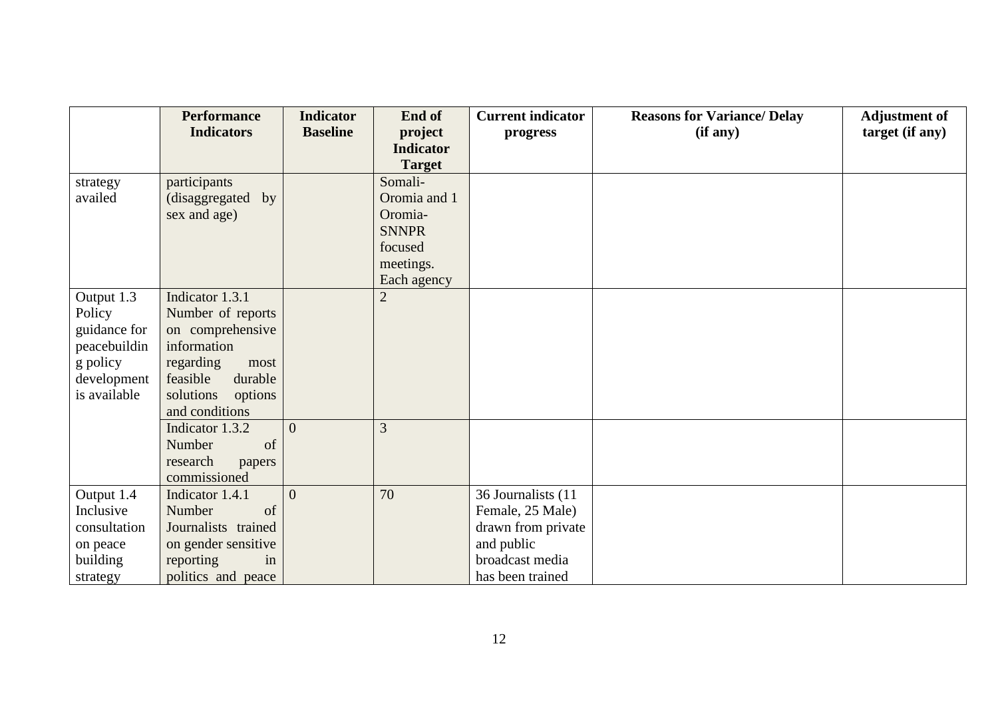|              | <b>Performance</b>   | <b>Indicator</b> | End of           | <b>Current indicator</b> | <b>Reasons for Variance/ Delay</b> | <b>Adjustment of</b> |
|--------------|----------------------|------------------|------------------|--------------------------|------------------------------------|----------------------|
|              | <b>Indicators</b>    | <b>Baseline</b>  | project          | progress                 | (if any)                           | target (if any)      |
|              |                      |                  | <b>Indicator</b> |                          |                                    |                      |
|              |                      |                  | <b>Target</b>    |                          |                                    |                      |
| strategy     | participants         |                  | Somali-          |                          |                                    |                      |
| availed      | (disaggregated by    |                  | Oromia and 1     |                          |                                    |                      |
|              | sex and age)         |                  | Oromia-          |                          |                                    |                      |
|              |                      |                  | <b>SNNPR</b>     |                          |                                    |                      |
|              |                      |                  | focused          |                          |                                    |                      |
|              |                      |                  | meetings.        |                          |                                    |                      |
|              |                      |                  | Each agency      |                          |                                    |                      |
| Output 1.3   | Indicator 1.3.1      |                  | $\overline{2}$   |                          |                                    |                      |
| Policy       | Number of reports    |                  |                  |                          |                                    |                      |
| guidance for | on comprehensive     |                  |                  |                          |                                    |                      |
| peacebuildin | information          |                  |                  |                          |                                    |                      |
| g policy     | regarding<br>most    |                  |                  |                          |                                    |                      |
| development  | durable<br>feasible  |                  |                  |                          |                                    |                      |
| is available | solutions<br>options |                  |                  |                          |                                    |                      |
|              | and conditions       |                  |                  |                          |                                    |                      |
|              | Indicator 1.3.2      | $\overline{0}$   | 3                |                          |                                    |                      |
|              | Number<br>of         |                  |                  |                          |                                    |                      |
|              | research<br>papers   |                  |                  |                          |                                    |                      |
|              | commissioned         |                  |                  |                          |                                    |                      |
| Output 1.4   | Indicator 1.4.1      | $\overline{0}$   | 70               | 36 Journalists (11       |                                    |                      |
| Inclusive    | Number<br>of         |                  |                  | Female, 25 Male)         |                                    |                      |
| consultation | Journalists trained  |                  |                  | drawn from private       |                                    |                      |
| on peace     | on gender sensitive  |                  |                  | and public               |                                    |                      |
| building     | reporting<br>in      |                  |                  | broadcast media          |                                    |                      |
| strategy     | politics and peace   |                  |                  | has been trained         |                                    |                      |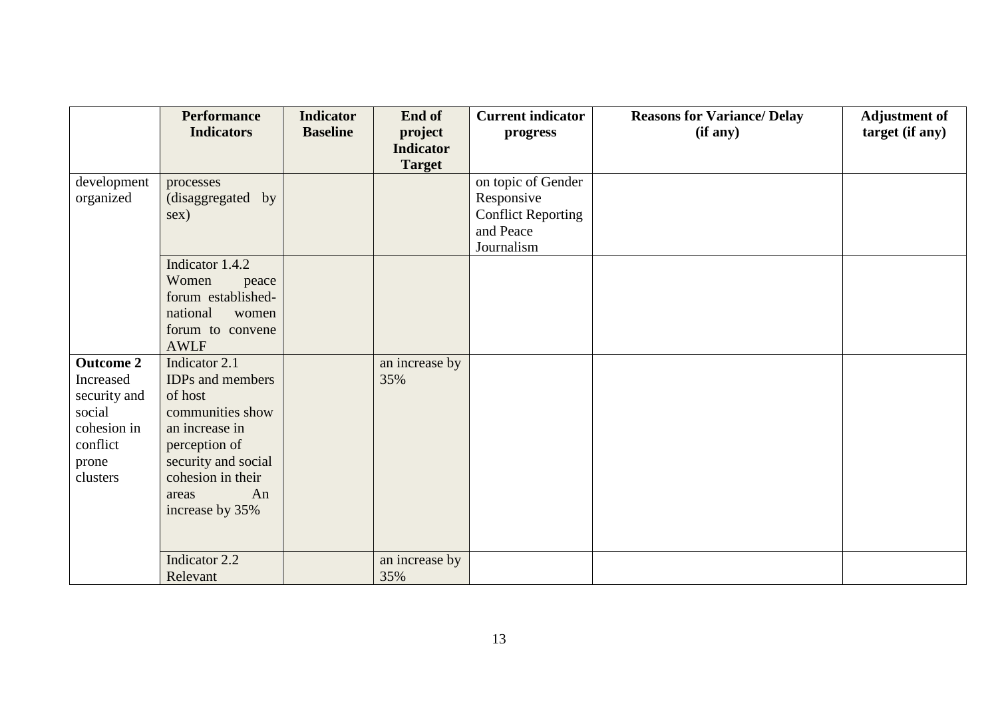|                  | <b>Performance</b>      | <b>Indicator</b> | End of           | <b>Current indicator</b>  | <b>Reasons for Variance/ Delay</b> | <b>Adjustment of</b> |
|------------------|-------------------------|------------------|------------------|---------------------------|------------------------------------|----------------------|
|                  | <b>Indicators</b>       | <b>Baseline</b>  | project          | progress                  | (if any)                           | target (if any)      |
|                  |                         |                  | <b>Indicator</b> |                           |                                    |                      |
|                  |                         |                  | <b>Target</b>    |                           |                                    |                      |
| development      | processes               |                  |                  | on topic of Gender        |                                    |                      |
| organized        | (disaggregated by       |                  |                  | Responsive                |                                    |                      |
|                  | sex)                    |                  |                  | <b>Conflict Reporting</b> |                                    |                      |
|                  |                         |                  |                  | and Peace                 |                                    |                      |
|                  |                         |                  |                  | Journalism                |                                    |                      |
|                  | Indicator 1.4.2         |                  |                  |                           |                                    |                      |
|                  | Women<br>peace          |                  |                  |                           |                                    |                      |
|                  | forum established-      |                  |                  |                           |                                    |                      |
|                  | national<br>women       |                  |                  |                           |                                    |                      |
|                  | forum to convene        |                  |                  |                           |                                    |                      |
|                  | <b>AWLF</b>             |                  |                  |                           |                                    |                      |
| <b>Outcome 2</b> | Indicator 2.1           |                  | an increase by   |                           |                                    |                      |
| Increased        | <b>IDPs</b> and members |                  | 35%              |                           |                                    |                      |
| security and     | of host                 |                  |                  |                           |                                    |                      |
| social           | communities show        |                  |                  |                           |                                    |                      |
| cohesion in      | an increase in          |                  |                  |                           |                                    |                      |
| conflict         | perception of           |                  |                  |                           |                                    |                      |
| prone            | security and social     |                  |                  |                           |                                    |                      |
| clusters         | cohesion in their       |                  |                  |                           |                                    |                      |
|                  | An<br>areas             |                  |                  |                           |                                    |                      |
|                  | increase by 35%         |                  |                  |                           |                                    |                      |
|                  |                         |                  |                  |                           |                                    |                      |
|                  |                         |                  |                  |                           |                                    |                      |
|                  | Indicator 2.2           |                  | an increase by   |                           |                                    |                      |
|                  | Relevant                |                  | 35%              |                           |                                    |                      |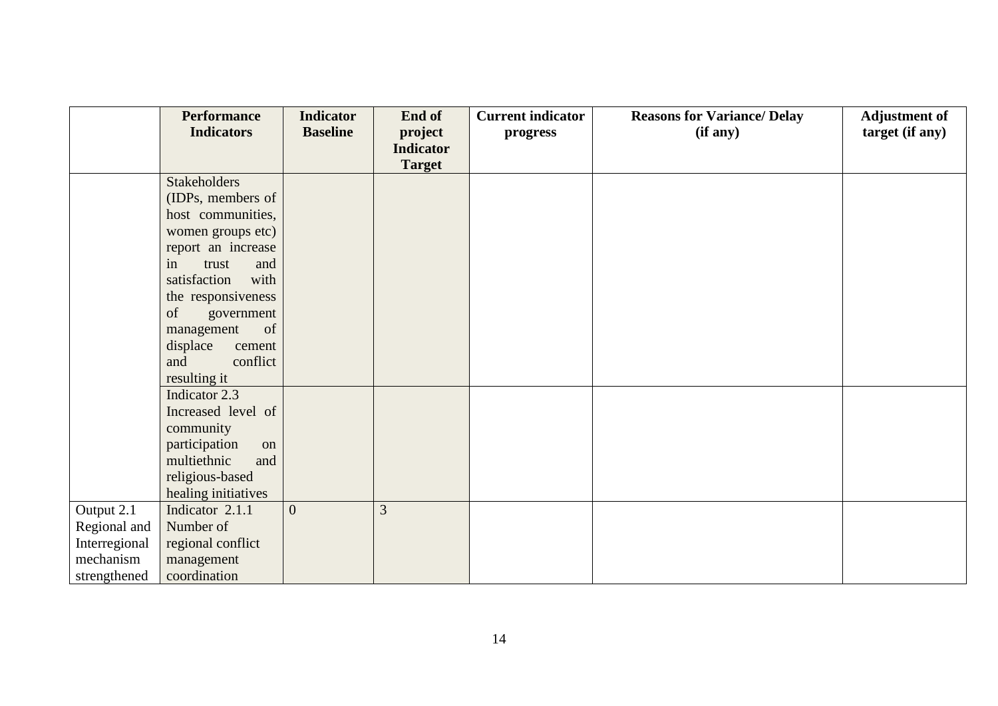|               | <b>Performance</b>                        | <b>Indicator</b> | End of           | <b>Current indicator</b> | <b>Reasons for Variance/ Delay</b> | <b>Adjustment of</b> |
|---------------|-------------------------------------------|------------------|------------------|--------------------------|------------------------------------|----------------------|
|               | <b>Indicators</b>                         | <b>Baseline</b>  | project          | progress                 | (if any)                           | target (if any)      |
|               |                                           |                  | <b>Indicator</b> |                          |                                    |                      |
|               |                                           |                  | <b>Target</b>    |                          |                                    |                      |
|               | <b>Stakeholders</b>                       |                  |                  |                          |                                    |                      |
|               | (IDPs, members of                         |                  |                  |                          |                                    |                      |
|               | host communities,                         |                  |                  |                          |                                    |                      |
|               | women groups etc)                         |                  |                  |                          |                                    |                      |
|               | report an increase                        |                  |                  |                          |                                    |                      |
|               | in<br>and<br>trust                        |                  |                  |                          |                                    |                      |
|               | with<br>satisfaction                      |                  |                  |                          |                                    |                      |
|               | the responsiveness                        |                  |                  |                          |                                    |                      |
|               | of<br>government                          |                  |                  |                          |                                    |                      |
|               | of<br>management                          |                  |                  |                          |                                    |                      |
|               | displace<br>cement                        |                  |                  |                          |                                    |                      |
|               | and<br>conflict                           |                  |                  |                          |                                    |                      |
|               | resulting it                              |                  |                  |                          |                                    |                      |
|               | Indicator 2.3                             |                  |                  |                          |                                    |                      |
|               | Increased level of                        |                  |                  |                          |                                    |                      |
|               | community                                 |                  |                  |                          |                                    |                      |
|               | participation<br>on<br>multiethnic<br>and |                  |                  |                          |                                    |                      |
|               |                                           |                  |                  |                          |                                    |                      |
|               | religious-based<br>healing initiatives    |                  |                  |                          |                                    |                      |
| Output 2.1    | Indicator 2.1.1                           | $\overline{0}$   | 3                |                          |                                    |                      |
| Regional and  | Number of                                 |                  |                  |                          |                                    |                      |
| Interregional | regional conflict                         |                  |                  |                          |                                    |                      |
| mechanism     | management                                |                  |                  |                          |                                    |                      |
| strengthened  | coordination                              |                  |                  |                          |                                    |                      |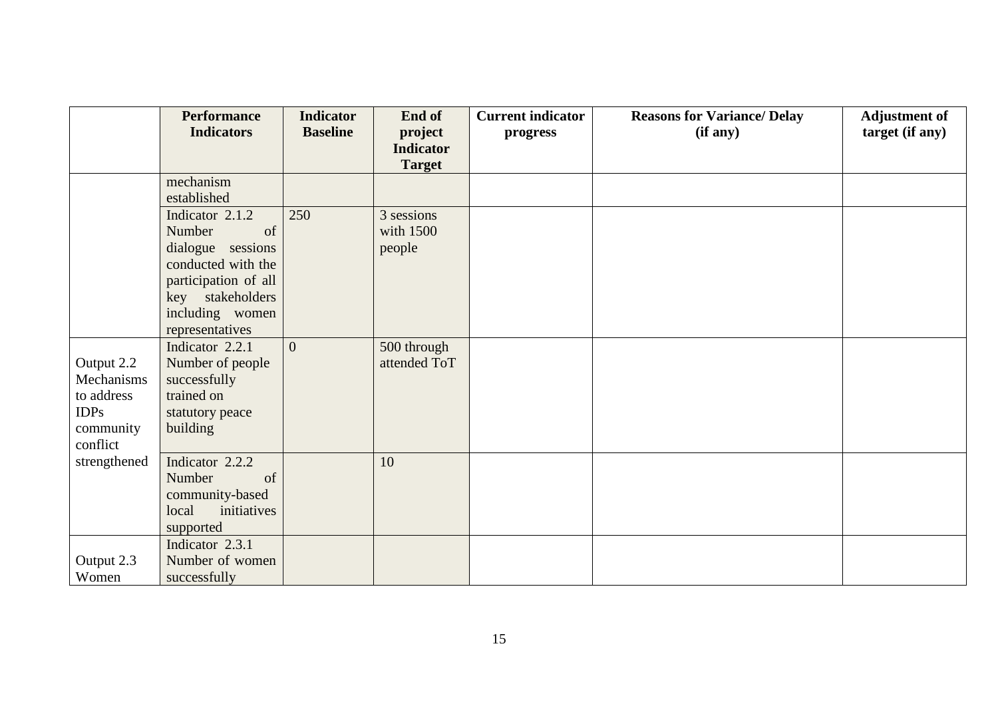|              | <b>Performance</b>                          | <b>Indicator</b> | End of           | <b>Current indicator</b> | <b>Reasons for Variance/ Delay</b> | <b>Adjustment of</b> |
|--------------|---------------------------------------------|------------------|------------------|--------------------------|------------------------------------|----------------------|
|              | <b>Indicators</b>                           | <b>Baseline</b>  | project          | progress                 | (i f any)                          | target (if any)      |
|              |                                             |                  | <b>Indicator</b> |                          |                                    |                      |
|              |                                             |                  | <b>Target</b>    |                          |                                    |                      |
|              | mechanism                                   |                  |                  |                          |                                    |                      |
|              | established                                 |                  |                  |                          |                                    |                      |
|              | Indicator 2.1.2                             | 250              | 3 sessions       |                          |                                    |                      |
|              | Number<br>of                                |                  | with 1500        |                          |                                    |                      |
|              | dialogue sessions                           |                  | people           |                          |                                    |                      |
|              | conducted with the                          |                  |                  |                          |                                    |                      |
|              | participation of all<br>stakeholders<br>key |                  |                  |                          |                                    |                      |
|              | including women                             |                  |                  |                          |                                    |                      |
|              | representatives                             |                  |                  |                          |                                    |                      |
|              | Indicator 2.2.1                             | $\overline{0}$   | 500 through      |                          |                                    |                      |
| Output 2.2   | Number of people                            |                  | attended ToT     |                          |                                    |                      |
| Mechanisms   | successfully                                |                  |                  |                          |                                    |                      |
| to address   | trained on                                  |                  |                  |                          |                                    |                      |
| <b>IDPs</b>  | statutory peace                             |                  |                  |                          |                                    |                      |
| community    | building                                    |                  |                  |                          |                                    |                      |
| conflict     |                                             |                  |                  |                          |                                    |                      |
| strengthened | Indicator 2.2.2                             |                  | 10               |                          |                                    |                      |
|              | Number<br>of                                |                  |                  |                          |                                    |                      |
|              | community-based                             |                  |                  |                          |                                    |                      |
|              | local<br>initiatives                        |                  |                  |                          |                                    |                      |
|              | supported                                   |                  |                  |                          |                                    |                      |
|              | Indicator 2.3.1                             |                  |                  |                          |                                    |                      |
| Output 2.3   | Number of women                             |                  |                  |                          |                                    |                      |
| Women        | successfully                                |                  |                  |                          |                                    |                      |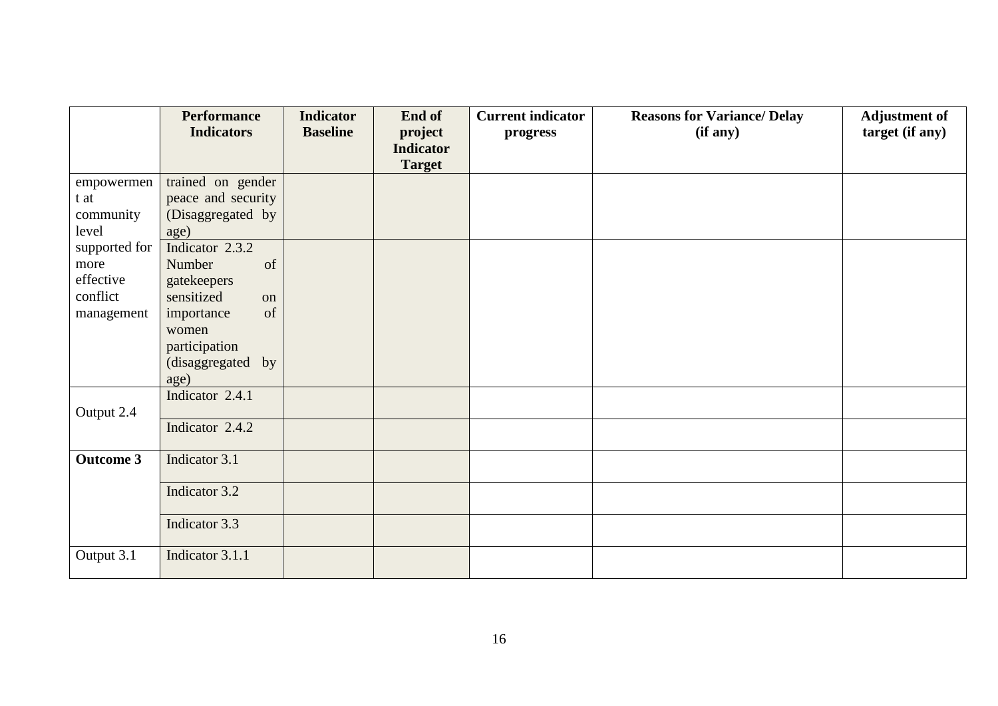|                  | <b>Performance</b> | <b>Indicator</b> | End of           | <b>Current indicator</b> | <b>Reasons for Variance/ Delay</b> | <b>Adjustment of</b> |
|------------------|--------------------|------------------|------------------|--------------------------|------------------------------------|----------------------|
|                  | <b>Indicators</b>  | <b>Baseline</b>  | project          | progress                 | (if any)                           | target (if any)      |
|                  |                    |                  | <b>Indicator</b> |                          |                                    |                      |
|                  |                    |                  | <b>Target</b>    |                          |                                    |                      |
| empowermen       | trained on gender  |                  |                  |                          |                                    |                      |
| t at             | peace and security |                  |                  |                          |                                    |                      |
| community        | (Disaggregated by  |                  |                  |                          |                                    |                      |
| level            | age)               |                  |                  |                          |                                    |                      |
| supported for    | Indicator 2.3.2    |                  |                  |                          |                                    |                      |
| more             | of<br>Number       |                  |                  |                          |                                    |                      |
| effective        | gatekeepers        |                  |                  |                          |                                    |                      |
| conflict         | sensitized<br>on   |                  |                  |                          |                                    |                      |
| management       | of<br>importance   |                  |                  |                          |                                    |                      |
|                  | women              |                  |                  |                          |                                    |                      |
|                  | participation      |                  |                  |                          |                                    |                      |
|                  | (disaggregated by  |                  |                  |                          |                                    |                      |
|                  | age)               |                  |                  |                          |                                    |                      |
|                  | Indicator 2.4.1    |                  |                  |                          |                                    |                      |
| Output 2.4       |                    |                  |                  |                          |                                    |                      |
|                  | Indicator 2.4.2    |                  |                  |                          |                                    |                      |
| <b>Outcome 3</b> | Indicator 3.1      |                  |                  |                          |                                    |                      |
|                  |                    |                  |                  |                          |                                    |                      |
|                  | Indicator 3.2      |                  |                  |                          |                                    |                      |
|                  |                    |                  |                  |                          |                                    |                      |
|                  | Indicator 3.3      |                  |                  |                          |                                    |                      |
| Output 3.1       | Indicator 3.1.1    |                  |                  |                          |                                    |                      |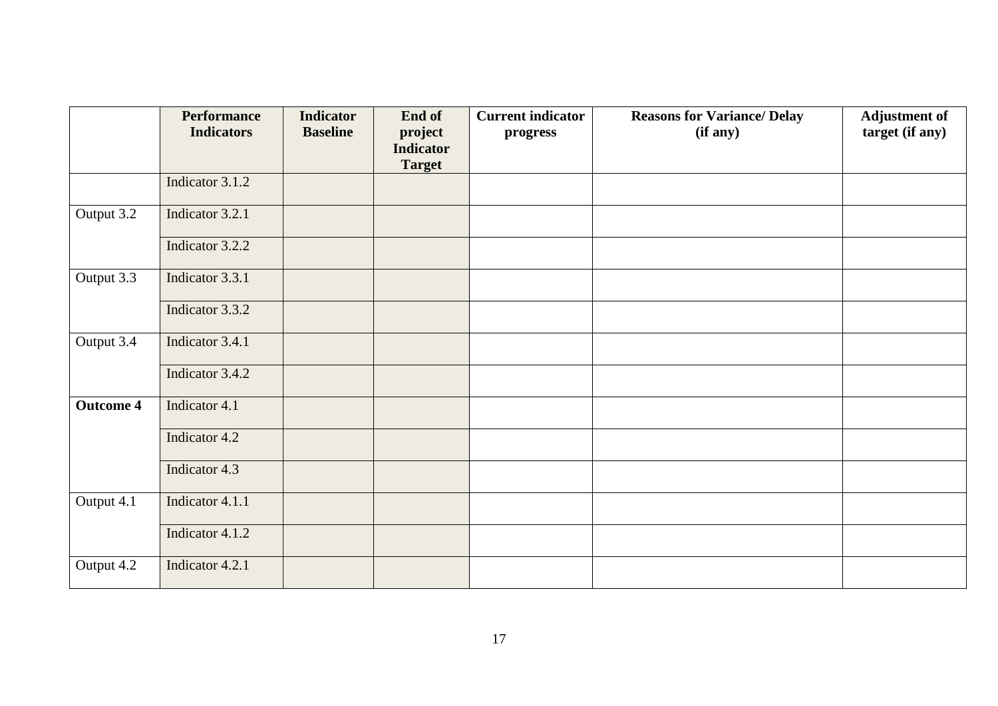|                  | <b>Performance</b><br><b>Indicators</b> | <b>Indicator</b><br><b>Baseline</b> | End of<br>project                 | <b>Current indicator</b> | <b>Reasons for Variance/ Delay</b><br>(if any) | <b>Adjustment of</b><br>target (if any) |
|------------------|-----------------------------------------|-------------------------------------|-----------------------------------|--------------------------|------------------------------------------------|-----------------------------------------|
|                  |                                         |                                     | <b>Indicator</b><br><b>Target</b> | progress                 |                                                |                                         |
|                  | Indicator 3.1.2                         |                                     |                                   |                          |                                                |                                         |
| Output 3.2       | Indicator 3.2.1                         |                                     |                                   |                          |                                                |                                         |
|                  | Indicator 3.2.2                         |                                     |                                   |                          |                                                |                                         |
| Output 3.3       | Indicator 3.3.1                         |                                     |                                   |                          |                                                |                                         |
|                  | Indicator 3.3.2                         |                                     |                                   |                          |                                                |                                         |
| Output 3.4       | Indicator 3.4.1                         |                                     |                                   |                          |                                                |                                         |
|                  | Indicator 3.4.2                         |                                     |                                   |                          |                                                |                                         |
| <b>Outcome 4</b> | Indicator 4.1                           |                                     |                                   |                          |                                                |                                         |
|                  | Indicator 4.2                           |                                     |                                   |                          |                                                |                                         |
|                  | Indicator 4.3                           |                                     |                                   |                          |                                                |                                         |
| Output 4.1       | Indicator 4.1.1                         |                                     |                                   |                          |                                                |                                         |
|                  | Indicator 4.1.2                         |                                     |                                   |                          |                                                |                                         |
| Output 4.2       | Indicator 4.2.1                         |                                     |                                   |                          |                                                |                                         |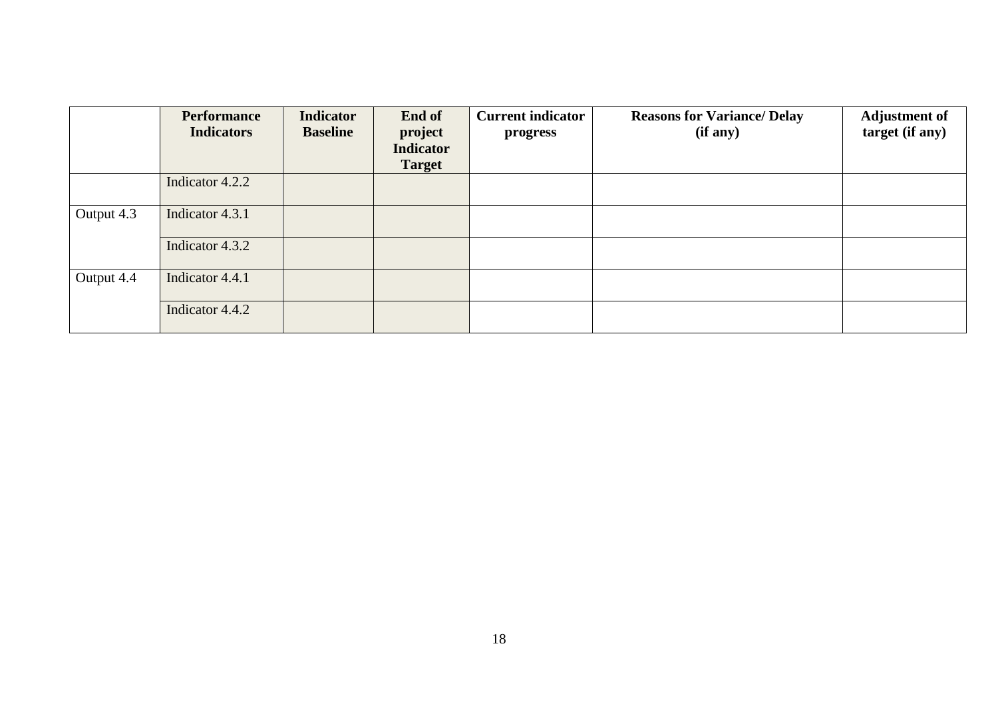|            | <b>Performance</b><br><b>Indicators</b> | <b>Indicator</b><br><b>Baseline</b> | End of<br>project<br><b>Indicator</b><br><b>Target</b> | <b>Current indicator</b><br>progress | <b>Reasons for Variance/ Delay</b><br>(if any) | <b>Adjustment of</b><br>target (if any) |
|------------|-----------------------------------------|-------------------------------------|--------------------------------------------------------|--------------------------------------|------------------------------------------------|-----------------------------------------|
|            | Indicator 4.2.2                         |                                     |                                                        |                                      |                                                |                                         |
| Output 4.3 | Indicator 4.3.1                         |                                     |                                                        |                                      |                                                |                                         |
|            | Indicator 4.3.2                         |                                     |                                                        |                                      |                                                |                                         |
| Output 4.4 | Indicator 4.4.1                         |                                     |                                                        |                                      |                                                |                                         |
|            | Indicator 4.4.2                         |                                     |                                                        |                                      |                                                |                                         |